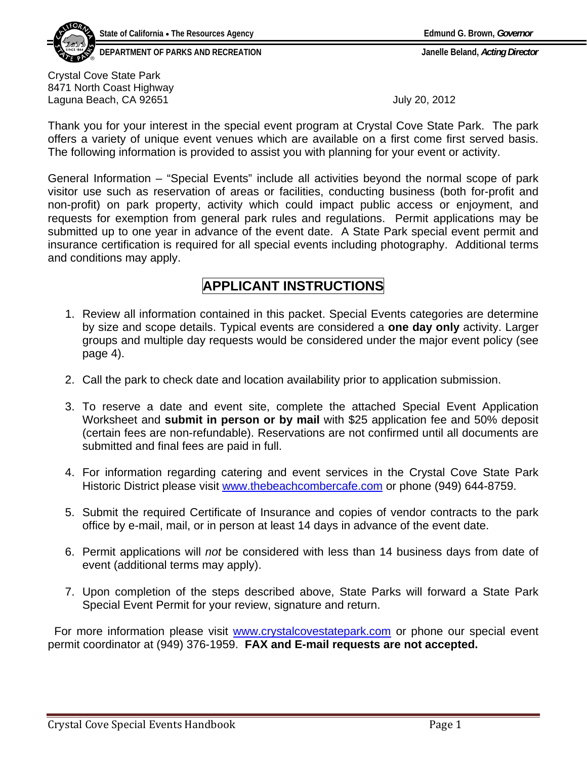**DEPARTMENT OF PARKS AND RECREATION Janelle Beland,** *Acting Director*

Crystal Cove State Park 8471 North Coast Highway Laguna Beach, CA 92651 **July 20, 2012** 

Thank you for your interest in the special event program at Crystal Cove State Park. The park offers a variety of unique event venues which are available on a first come first served basis. The following information is provided to assist you with planning for your event or activity.

General Information – "Special Events" include all activities beyond the normal scope of park visitor use such as reservation of areas or facilities, conducting business (both for-profit and non-profit) on park property, activity which could impact public access or enjoyment, and requests for exemption from general park rules and regulations. Permit applications may be submitted up to one year in advance of the event date. A State Park special event permit and insurance certification is required for all special events including photography. Additional terms and conditions may apply.

# **APPLICANT INSTRUCTIONS**

- 1. Review all information contained in this packet. Special Events categories are determine by size and scope details. Typical events are considered a **one day only** activity. Larger groups and multiple day requests would be considered under the major event policy (see page 4).
- 2. Call the park to check date and location availability prior to application submission.
- 3. To reserve a date and event site, complete the attached Special Event Application Worksheet and **submit in person or by mail** with \$25 application fee and 50% deposit (certain fees are non-refundable). Reservations are not confirmed until all documents are submitted and final fees are paid in full.
- 4. For information regarding catering and event services in the Crystal Cove State Park Historic District please visit [www.thebeachcombercafe.com](http://www.thebeachcombercafe.com/) or phone (949) 644-8759.
- 5. Submit the required Certificate of Insurance and copies of vendor contracts to the park office by e-mail, mail, or in person at least 14 days in advance of the event date.
- 6. Permit applications will *not* be considered with less than 14 business days from date of event (additional terms may apply).
- 7. Upon completion of the steps described above, State Parks will forward a State Park Special Event Permit for your review, signature and return.

For more information please visit www.crystalcovestatepark.com or phone our special event permit coordinator at (949) 376-1959. **[FAX and E-mail requests ar](http://www.crystalcovestatepark.com/)e not accepted.**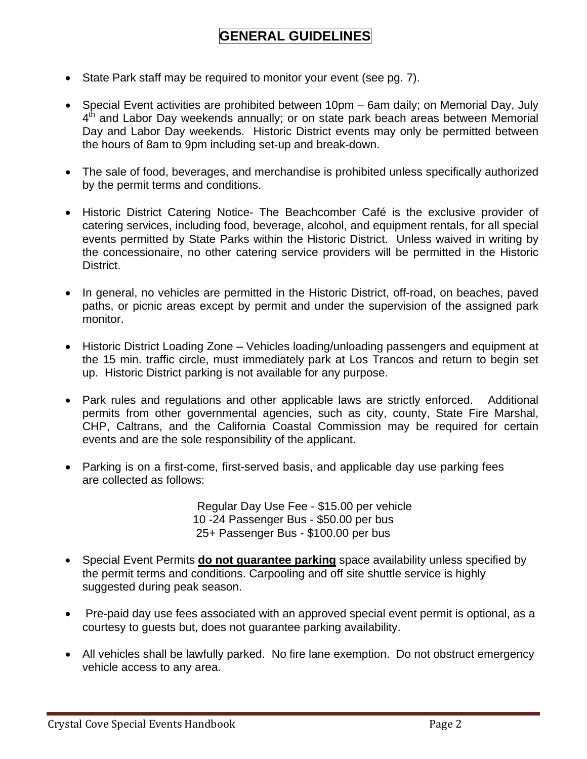# **GENERAL GUIDELINES**

- State Park staff may be required to monitor your event (see pg. 7).
- Special Event activities are prohibited between 10pm 6am daily; on Memorial Day, July 4<sup>th</sup> and Labor Day weekends annually; or on state park beach areas between Memorial Day and Labor Day weekends. Historic District events may only be permitted between the hours of 8am to 9pm including set-up and break-down.
- The sale of food, beverages, and merchandise is prohibited unless specifically authorized by the permit terms and conditions.
- Historic District Catering Notice- The Beachcomber Café is the exclusive provider of catering services, including food, beverage, alcohol, and equipment rentals, for all special events permitted by State Parks within the Historic District. Unless waived in writing by the concessionaire, no other catering service providers will be permitted in the Historic District.
- In general, no vehicles are permitted in the Historic District, off-road, on beaches, paved paths, or picnic areas except by permit and under the supervision of the assigned park monitor.
- Historic District Loading Zone Vehicles loading/unloading passengers and equipment at the 15 min. traffic circle, must immediately park at Los Trancos and return to begin set up. Historic District parking is not available for any purpose.
- Park rules and regulations and other applicable laws are strictly enforced. Additional permits from other governmental agencies, such as city, county, State Fire Marshal, CHP, Caltrans, and the California Coastal Commission may be required for certain events and are the sole responsibility of the applicant.
- Parking is on a first-come, first-served basis, and applicable day use parking fees are collected as follows:

 Regular Day Use Fee - \$15.00 per vehicle 10 -24 Passenger Bus - \$50.00 per bus 25+ Passenger Bus - \$100.00 per bus

- Special Event Permits **do not guarantee parking** space availability unless specified by the permit terms and conditions. Carpooling and off site shuttle service is highly suggested during peak season.
- Pre-paid day use fees associated with an approved special event permit is optional, as a courtesy to guests but, does not guarantee parking availability.
- All vehicles shall be lawfully parked. No fire lane exemption. Do not obstruct emergency vehicle access to any area.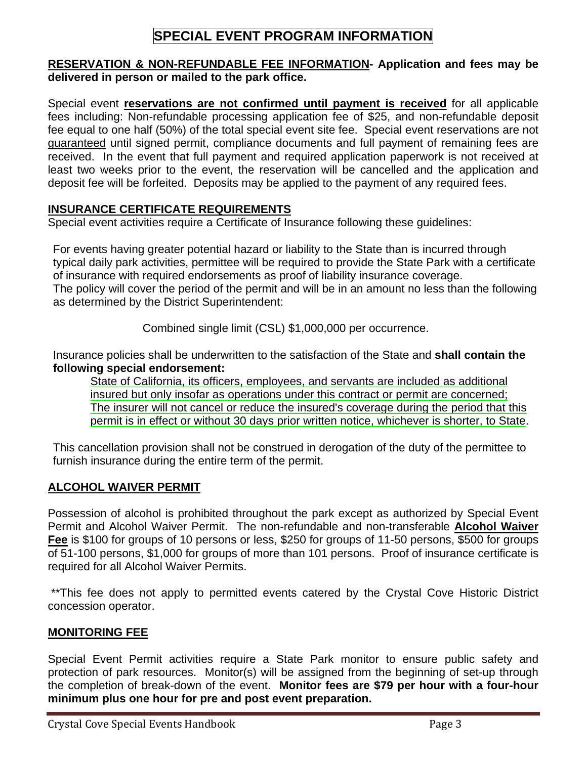# **SPECIAL EVENT PROGRAM INFORMATION**

### **RESERVATION & NON-REFUNDABLE FEE INFORMATION- Application and fees may be delivered in person or mailed to the park office.**

Special event **reservations are not confirmed until payment is received** for all applicable fees including: Non-refundable processing application fee of \$25, and non-refundable deposit fee equal to one half (50%) of the total special event site fee. Special event reservations are not guaranteed until signed permit, compliance documents and full payment of remaining fees are received. In the event that full payment and required application paperwork is not received at least two weeks prior to the event, the reservation will be cancelled and the application and deposit fee will be forfeited. Deposits may be applied to the payment of any required fees.

# **INSURANCE CERTIFICATE REQUIREMENTS**

Special event activities require a Certificate of Insurance following these guidelines:

For events having greater potential hazard or liability to the State than is incurred through typical daily park activities, permittee will be required to provide the State Park with a certificate of insurance with required endorsements as proof of liability insurance coverage. The policy will cover the period of the permit and will be in an amount no less than the following as determined by the District Superintendent:

Combined single limit (CSL) \$1,000,000 per occurrence.

Insurance policies shall be underwritten to the satisfaction of the State and **shall contain the following special endorsement:**

State of California, its officers, employees, and servants are included as additional insured but only insofar as operations under this contract or permit are concerned; The insurer will not cancel or reduce the insured's coverage during the period that this permit is in effect or without 30 days prior written notice, whichever is shorter, to State.

This cancellation provision shall not be construed in derogation of the duty of the permittee to furnish insurance during the entire term of the permit.

# **ALCOHOL WAIVER PERMIT**

Possession of alcohol is prohibited throughout the park except as authorized by Special Event Permit and Alcohol Waiver Permit. The non-refundable and non-transferable **Alcohol Waiver Fee** is \$100 for groups of 10 persons or less, \$250 for groups of 11-50 persons, \$500 for groups of 51-100 persons, \$1,000 for groups of more than 101 persons. Proof of insurance certificate is required for all Alcohol Waiver Permits.

 \*\*This fee does not apply to permitted events catered by the Crystal Cove Historic District concession operator.

# **MONITORING FEE**

Special Event Permit activities require a State Park monitor to ensure public safety and protection of park resources. Monitor(s) will be assigned from the beginning of set-up through the completion of break-down of the event. **Monitor fees are \$79 per hour with a four-hour minimum plus one hour for pre and post event preparation.**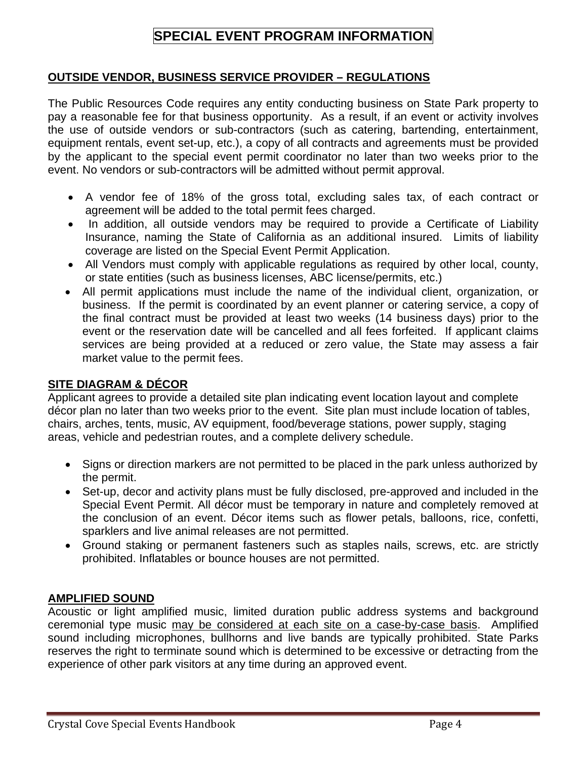# **SPECIAL EVENT PROGRAM INFORMATION**

# **OUTSIDE VENDOR, BUSINESS SERVICE PROVIDER – REGULATIONS**

The Public Resources Code requires any entity conducting business on State Park property to pay a reasonable fee for that business opportunity. As a result, if an event or activity involves the use of outside vendors or sub-contractors (such as catering, bartending, entertainment, equipment rentals, event set-up, etc.), a copy of all contracts and agreements must be provided by the applicant to the special event permit coordinator no later than two weeks prior to the event. No vendors or sub-contractors will be admitted without permit approval.

- A vendor fee of 18% of the gross total, excluding sales tax, of each contract or agreement will be added to the total permit fees charged.
- In addition, all outside vendors may be required to provide a Certificate of Liability Insurance, naming the State of California as an additional insured. Limits of liability coverage are listed on the Special Event Permit Application.
- All Vendors must comply with applicable regulations as required by other local, county, or state entities (such as business licenses, ABC license/permits, etc.)
- All permit applications must include the name of the individual client, organization, or business. If the permit is coordinated by an event planner or catering service, a copy of the final contract must be provided at least two weeks (14 business days) prior to the event or the reservation date will be cancelled and all fees forfeited. If applicant claims services are being provided at a reduced or zero value, the State may assess a fair market value to the permit fees.

# **SITE DIAGRAM & DÉCOR**

Applicant agrees to provide a detailed site plan indicating event location layout and complete décor plan no later than two weeks prior to the event. Site plan must include location of tables, chairs, arches, tents, music, AV equipment, food/beverage stations, power supply, staging areas, vehicle and pedestrian routes, and a complete delivery schedule.

- Signs or direction markers are not permitted to be placed in the park unless authorized by the permit.
- Set-up, decor and activity plans must be fully disclosed, pre-approved and included in the Special Event Permit. All décor must be temporary in nature and completely removed at the conclusion of an event. Décor items such as flower petals, balloons, rice, confetti, sparklers and live animal releases are not permitted.
- Ground staking or permanent fasteners such as staples nails, screws, etc. are strictly prohibited. Inflatables or bounce houses are not permitted.

# **AMPLIFIED SOUND**

Acoustic or light amplified music, limited duration public address systems and background ceremonial type music may be considered at each site on a case-by-case basis. Amplified sound including microphones, bullhorns and live bands are typically prohibited. State Parks reserves the right to terminate sound which is determined to be excessive or detracting from the experience of other park visitors at any time during an approved event.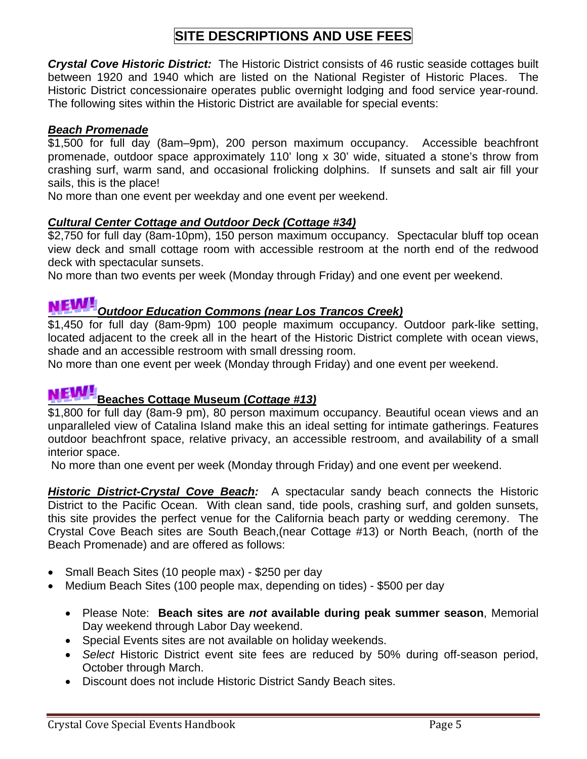# **SITE DESCRIPTIONS AND USE FEES**

*Crystal Cove Historic District:* The Historic District consists of 46 rustic seaside cottages built between 1920 and 1940 which are listed on the National Register of Historic Places. The Historic District concessionaire operates public overnight lodging and food service year-round. The following sites within the Historic District are available for special events:

# *Beach Promenade*

\$1,500 for full day (8am–9pm), 200 person maximum occupancy. Accessible beachfront promenade, outdoor space approximately 110' long x 30' wide, situated a stone's throw from crashing surf, warm sand, and occasional frolicking dolphins. If sunsets and salt air fill your sails, this is the place!

No more than one event per weekday and one event per weekend.

# *Cultural Center Cottage and Outdoor Deck (Cottage #34)*

\$2,750 for full day (8am-10pm), 150 person maximum occupancy. Spectacular bluff top ocean view deck and small cottage room with accessible restroom at the north end of the redwood deck with spectacular sunsets.

No more than two events per week (Monday through Friday) and one event per weekend.

# *Outdoor Education Commons (near Los Trancos Creek)*

\$1,450 for full day (8am-9pm) 100 people maximum occupancy. Outdoor park-like setting, located adjacent to the creek all in the heart of the Historic District complete with ocean views, shade and an accessible restroom with small dressing room.

No more than one event per week (Monday through Friday) and one event per weekend.

# **Beaches Cottage Museum (***Cottage #13)*

\$1,800 for full day (8am-9 pm), 80 person maximum occupancy. Beautiful ocean views and an unparalleled view of Catalina Island make this an ideal setting for intimate gatherings. Features outdoor beachfront space, relative privacy, an accessible restroom, and availability of a small interior space.

No more than one event per week (Monday through Friday) and one event per weekend.

*Historic District-Crystal Cove Beach:* A spectacular sandy beach connects the Historic District to the Pacific Ocean. With clean sand, tide pools, crashing surf, and golden sunsets, this site provides the perfect venue for the California beach party or wedding ceremony. The Crystal Cove Beach sites are South Beach,(near Cottage #13) or North Beach, (north of the Beach Promenade) and are offered as follows:

- Small Beach Sites (10 people max) \$250 per day
- Medium Beach Sites (100 people max, depending on tides) \$500 per day
	- Please Note: **Beach sites are** *not* **available during peak summer season**, Memorial Day weekend through Labor Day weekend.
	- Special Events sites are not available on holiday weekends.
	- *Select* Historic District event site fees are reduced by 50% during off-season period, October through March.
	- Discount does not include Historic District Sandy Beach sites.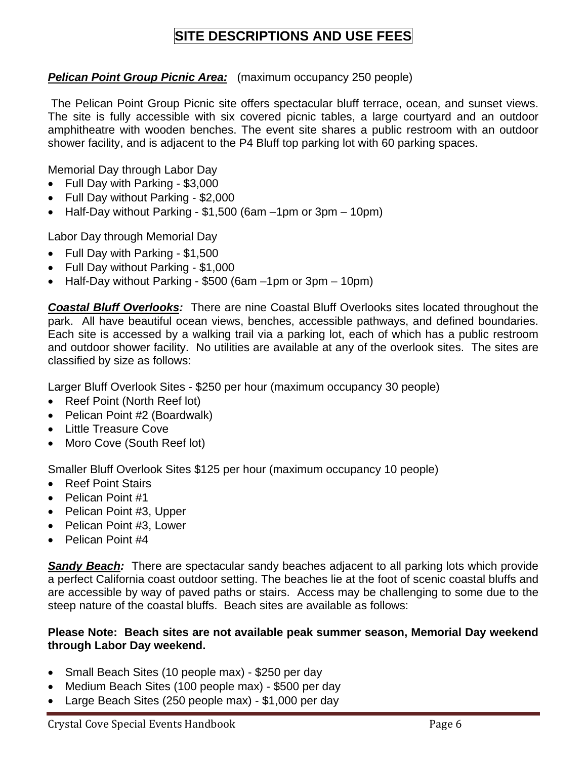# **SITE DESCRIPTIONS AND USE FEES**

### **Pelican Point Group Picnic Area:** (maximum occupancy 250 people)

 The Pelican Point Group Picnic site offers spectacular bluff terrace, ocean, and sunset views. The site is fully accessible with six covered picnic tables, a large courtyard and an outdoor amphitheatre with wooden benches. The event site shares a public restroom with an outdoor shower facility, and is adjacent to the P4 Bluff top parking lot with 60 parking spaces.

Memorial Day through Labor Day

- Full Day with Parking \$3,000
- Full Day without Parking \$2,000
- Half-Day without Parking \$1,500 (6am –1pm or 3pm 10pm)

Labor Day through Memorial Day

- Full Day with Parking \$1,500
- Full Day without Parking \$1,000
- Half-Day without Parking \$500 (6am –1pm or 3pm 10pm)

*Coastal Bluff Overlooks:* There are nine Coastal Bluff Overlooks sites located throughout the park. All have beautiful ocean views, benches, accessible pathways, and defined boundaries. Each site is accessed by a walking trail via a parking lot, each of which has a public restroom and outdoor shower facility. No utilities are available at any of the overlook sites. The sites are classified by size as follows:

Larger Bluff Overlook Sites - \$250 per hour (maximum occupancy 30 people)

- Reef Point (North Reef lot)
- Pelican Point #2 (Boardwalk)
- Little Treasure Cove
- Moro Cove (South Reef lot)

Smaller Bluff Overlook Sites \$125 per hour (maximum occupancy 10 people)

- Reef Point Stairs
- Pelican Point #1
- Pelican Point #3, Upper
- Pelican Point #3, Lower
- Pelican Point #4

**Sandy Beach:** There are spectacular sandy beaches adjacent to all parking lots which provide a perfect California coast outdoor setting. The beaches lie at the foot of scenic coastal bluffs and are accessible by way of paved paths or stairs. Access may be challenging to some due to the steep nature of the coastal bluffs. Beach sites are available as follows:

### **Please Note: Beach sites are not available peak summer season, Memorial Day weekend through Labor Day weekend.**

- Small Beach Sites (10 people max) \$250 per day
- Medium Beach Sites (100 people max) \$500 per day
- Large Beach Sites (250 people max) \$1,000 per day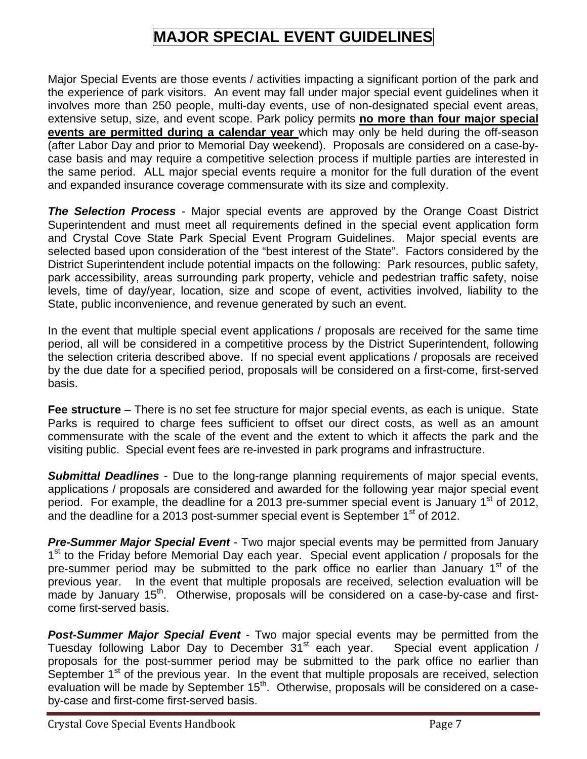# **MAJOR SPECIAL EVENT GUIDELINES**

Major Special Events are those events / activities impacting a significant portion of the park and the experience of park visitors. An event may fall under major special event guidelines when it involves more than 250 people, multi-day events, use of non-designated special event areas, extensive setup, size, and event scope. Park policy permits **no more than four major special events are permitted during a calendar year** which may only be held during the off-season (after Labor Day and prior to Memorial Day weekend). Proposals are considered on a case-bycase basis and may require a competitive selection process if multiple parties are interested in the same period. ALL major special events require a monitor for the full duration of the event and expanded insurance coverage commensurate with its size and complexity.

*The Selection Process* - Major special events are approved by the Orange Coast District Superintendent and must meet all requirements defined in the special event application form and Crystal Cove State Park Special Event Program Guidelines. Major special events are selected based upon consideration of the "best interest of the State". Factors considered by the District Superintendent include potential impacts on the following: Park resources, public safety, park accessibility, areas surrounding park property, vehicle and pedestrian traffic safety, noise levels, time of day/year, location, size and scope of event, activities involved, liability to the State, public inconvenience, and revenue generated by such an event.

In the event that multiple special event applications / proposals are received for the same time period, all will be considered in a competitive process by the District Superintendent, following the selection criteria described above. If no special event applications / proposals are received by the due date for a specified period, proposals will be considered on a first-come, first-served basis.

**Fee structure** – There is no set fee structure for major special events, as each is unique. State Parks is required to charge fees sufficient to offset our direct costs, as well as an amount commensurate with the scale of the event and the extent to which it affects the park and the visiting public. Special event fees are re-invested in park programs and infrastructure.

*Submittal Deadlines* - Due to the long-range planning requirements of major special events, applications / proposals are considered and awarded for the following year major special event period. For example, the deadline for a 2013 pre-summer special event is January  $1<sup>st</sup>$  of 2012, and the deadline for a 2013 post-summer special event is September  $1<sup>st</sup>$  of 2012.

*Pre-Summer Major Special Event* - Two major special events may be permitted from January 1<sup>st</sup> to the Friday before Memorial Day each year. Special event application / proposals for the pre-summer period may be submitted to the park office no earlier than January  $1<sup>st</sup>$  of the previous year. In the event that multiple proposals are received, selection evaluation will be made by January 15<sup>th</sup>. Otherwise, proposals will be considered on a case-by-case and firstcome first-served basis.

*Post-Summer Major Special Event* - Two major special events may be permitted from the Tuesday following Labor Day to December 31<sup>st</sup> each year. Special event application / proposals for the post-summer period may be submitted to the park office no earlier than September  $1<sup>st</sup>$  of the previous year. In the event that multiple proposals are received, selection evaluation will be made by September 15<sup>th</sup>. Otherwise, proposals will be considered on a caseby-case and first-come first-served basis.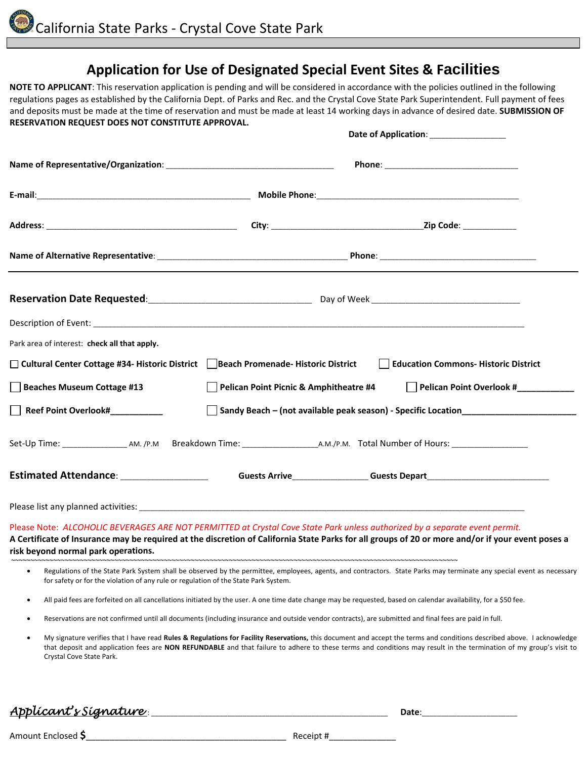# **Application for Use of Designated Special Event Sites & Facilities**

**NOTE TO APPLICANT**: This reservation application is pending and will be considered in accordance with the policies outlined in the following regulations pages as established by the California Dept. of Parks and Rec. and the Crystal Cove State Park Superintendent. Full payment of fees and deposits must be made at the time of reservation and must be made at least 14 working days in advance of desired date. **SUBMISSION OF RESERVATION REQUEST DOES NOT CONSTITUTE APPROVAL.**

|                                                                                                  |                                        | Date of Application: ________________                                                                                                                                                                                                                                                                                                        |  |
|--------------------------------------------------------------------------------------------------|----------------------------------------|----------------------------------------------------------------------------------------------------------------------------------------------------------------------------------------------------------------------------------------------------------------------------------------------------------------------------------------------|--|
|                                                                                                  |                                        |                                                                                                                                                                                                                                                                                                                                              |  |
|                                                                                                  |                                        |                                                                                                                                                                                                                                                                                                                                              |  |
|                                                                                                  |                                        |                                                                                                                                                                                                                                                                                                                                              |  |
|                                                                                                  |                                        |                                                                                                                                                                                                                                                                                                                                              |  |
|                                                                                                  |                                        |                                                                                                                                                                                                                                                                                                                                              |  |
|                                                                                                  |                                        |                                                                                                                                                                                                                                                                                                                                              |  |
| Park area of interest: check all that apply.                                                     |                                        |                                                                                                                                                                                                                                                                                                                                              |  |
| □ Cultural Center Cottage #34- Historic District Beach Promenade- Historic District              |                                        | <b>Education Commons-Historic District</b>                                                                                                                                                                                                                                                                                                   |  |
| Beaches Museum Cottage #13                                                                       | Pelican Point Picnic & Amphitheatre #4 | Pelican Point Overlook #__________                                                                                                                                                                                                                                                                                                           |  |
| Reef Point Overlook#___________                                                                  |                                        | Sandy Beach - (not available peak season) - Specific Location___________________                                                                                                                                                                                                                                                             |  |
|                                                                                                  |                                        |                                                                                                                                                                                                                                                                                                                                              |  |
| Estimated Attendance: ___________________                                                        |                                        | Guests Arrive___________________Guests Depart___________________________________                                                                                                                                                                                                                                                             |  |
|                                                                                                  |                                        |                                                                                                                                                                                                                                                                                                                                              |  |
| risk beyond normal park operations.                                                              |                                        | Please Note: ALCOHOLIC BEVERAGES ARE NOT PERMITTED at Crystal Cove State Park unless authorized by a separate event permit.<br>A Certificate of Insurance may be required at the discretion of California State Parks for all groups of 20 or more and/or if your event poses a                                                              |  |
| $\bullet$<br>for safety or for the violation of any rule or regulation of the State Park System. |                                        | Regulations of the State Park System shall be observed by the permittee, employees, agents, and contractors. State Parks may terminate any special event as necessary                                                                                                                                                                        |  |
| $\bullet$                                                                                        |                                        | All paid fees are forfeited on all cancellations initiated by the user. A one time date change may be requested, based on calendar availability, for a \$50 fee.                                                                                                                                                                             |  |
| ٠                                                                                                |                                        | Reservations are not confirmed until all documents (including insurance and outside vendor contracts), are submitted and final fees are paid in full.                                                                                                                                                                                        |  |
| $\bullet$<br>Crystal Cove State Park.                                                            |                                        | My signature verifies that I have read Rules & Regulations for Facility Reservations, this document and accept the terms and conditions described above. I acknowledge<br>that deposit and application fees are NON REFUNDABLE and that failure to adhere to these terms and conditions may result in the termination of my group's visit to |  |

# *Applicant's Signature* : \_\_\_\_\_\_\_\_\_\_\_\_\_\_\_\_\_\_\_\_\_\_\_\_\_\_\_\_\_\_\_\_\_\_\_\_\_\_\_\_\_\_\_\_\_\_\_\_\_\_\_\_\_\_\_\_\_\_\_\_\_\_ **Date**:\_\_\_\_\_\_\_\_\_\_\_\_\_\_\_\_\_\_\_\_\_\_\_\_\_

Amount Enclosed  $\zeta$  **Receipt #**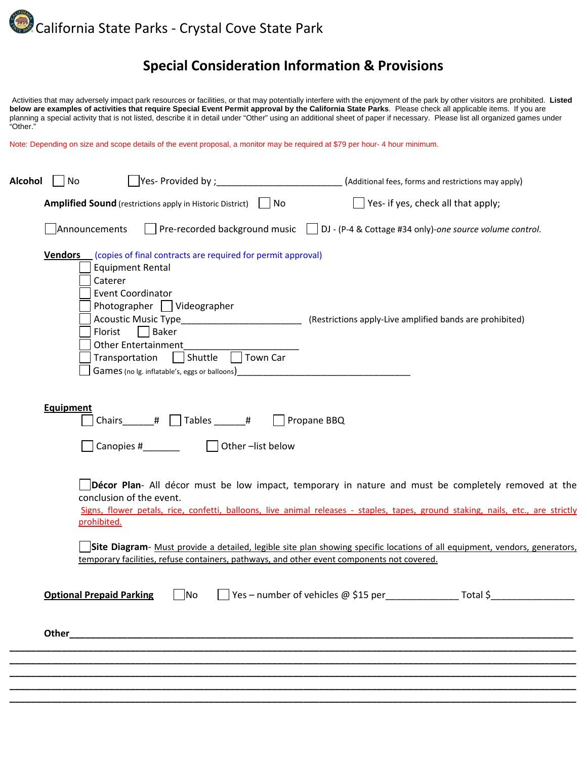

# **Special Consideration Information & Provisions**

Activities that may adversely impact park resources or facilities, or that may potentially interfere with the enjoyment of the park by other visitors are prohibited. Listed below are examples of activities that require Spe **below are examples of activities that require Special Event Permit approval by the California State Parks**. Please check all applicable items. If you are planning a special activity that is not listed, describe it in detail under "Other" using an additional sheet of paper if necessary. Please list all organized games under "Other."

Note: Depending on size and scope details of the event proposal, a monitor may be required at \$79 per hour- 4 hour minimum.

| Alcohol | No               |                                                                                             |                                                                                                                                       |                                                                                                                           |                                                                                            | (Additional fees, forms and restrictions may apply)                                                                                                                                                                                     |
|---------|------------------|---------------------------------------------------------------------------------------------|---------------------------------------------------------------------------------------------------------------------------------------|---------------------------------------------------------------------------------------------------------------------------|--------------------------------------------------------------------------------------------|-----------------------------------------------------------------------------------------------------------------------------------------------------------------------------------------------------------------------------------------|
|         |                  |                                                                                             | <b>Amplified Sound</b> (restrictions apply in Historic District)   No                                                                 |                                                                                                                           |                                                                                            | $\vert$ Yes- if yes, check all that apply;                                                                                                                                                                                              |
|         |                  | Announcements                                                                               |                                                                                                                                       |                                                                                                                           |                                                                                            | Pre-recorded background music $\Box$ DJ - (P-4 & Cottage #34 only)-one source volume control.                                                                                                                                           |
|         | <b>Vendors</b>   | <b>Equipment Rental</b><br>Caterer<br><b>Event Coordinator</b><br>Florist<br>Transportation | Photographer   Videographer<br>$\Box$ Baker<br><b>Other Entertainment</b><br>Shuttle<br>Games (no Ig. inflatable's, eggs or balloons) | (copies of final contracts are required for permit approval)<br>Acoustic Music Type__________________________<br>Town Car |                                                                                            | (Restrictions apply-Live amplified bands are prohibited)                                                                                                                                                                                |
|         | <b>Equipment</b> |                                                                                             | Chairs # Tables #<br>Canopies #________                                                                                               | Other-list below                                                                                                          | Propane BBQ                                                                                |                                                                                                                                                                                                                                         |
|         |                  | conclusion of the event.<br>prohibited.                                                     |                                                                                                                                       |                                                                                                                           |                                                                                            | Décor Plan- All décor must be low impact, temporary in nature and must be completely removed at the<br>Signs, flower petals, rice, confetti, balloons, live animal releases - staples, tapes, ground staking, nails, etc., are strictly |
|         |                  |                                                                                             |                                                                                                                                       |                                                                                                                           | temporary facilities, refuse containers, pathways, and other event components not covered. | Site Diagram- Must provide a detailed, legible site plan showing specific locations of all equipment, vendors, generators,                                                                                                              |
|         |                  | <b>Optional Prepaid Parking</b>                                                             | No                                                                                                                                    |                                                                                                                           | Yes – number of vehicles $@$ \$15 per                                                      | _Total \$                                                                                                                                                                                                                               |
|         | Other            |                                                                                             |                                                                                                                                       |                                                                                                                           |                                                                                            |                                                                                                                                                                                                                                         |
|         |                  |                                                                                             |                                                                                                                                       |                                                                                                                           |                                                                                            |                                                                                                                                                                                                                                         |
|         |                  |                                                                                             |                                                                                                                                       |                                                                                                                           |                                                                                            |                                                                                                                                                                                                                                         |
|         |                  |                                                                                             |                                                                                                                                       |                                                                                                                           |                                                                                            |                                                                                                                                                                                                                                         |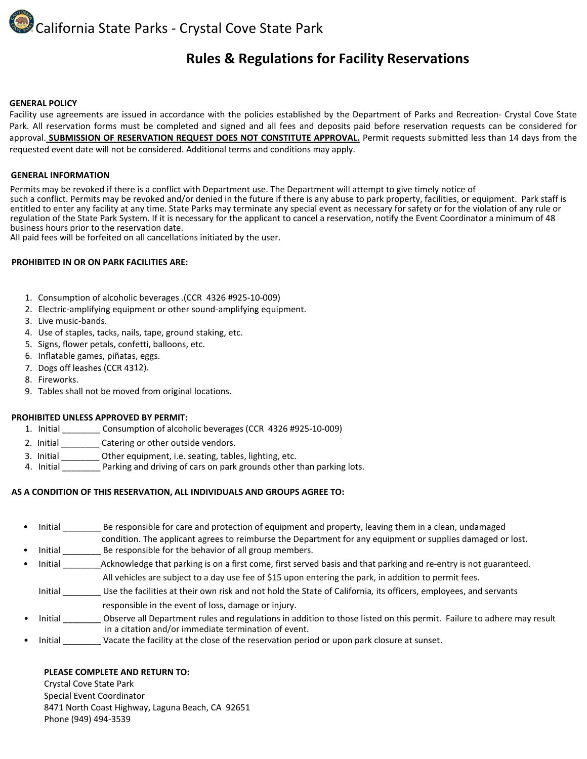California State Parks ‐ Crystal Cove State Park

# **Rules & Regulations for Facility Reservations**

#### **GENERAL POLICY**

Facility use agreements are issued in accordance with the policies established by the Department of Parks and Recreation‐ Crystal Cove State Park. All reservation forms must be completed and signed and all fees and deposits paid before reservation requests can be considered for approval. **SUBMISSION OF RESERVATION REQUEST DOES NOT CONSTITUTE APPROVAL.** Permit requests submitted less than 14 days from the requested event date will not be considered. Additional terms and conditions may apply.

#### **GENERAL INFORMATION**

Permits may be revoked if there is a conflict with Department use. The Department will attempt to give timely notice of<br>such a conflict. Permits may be revoked and/or denied in the future if there is any abuse to park prop entitled to enter any facility at any time. State Parks may terminate any special event as necessary for safety or for the violation of any rule or regulation of the State Park System. If it is necessary for the applicant to cancel a reservation, notify the Event Coordinator a minimum of 48 business hours prior to the reservation date.

All paid fees will be forfeited on all cancellations initiated by the user.

#### **PROHIBITED IN OR ON PARK FACILITIES ARE:**

- 1. Consumption of alcoholic beverages .(CCR 4326 #925‐10‐009)
- 2. Electric-amplifying equipment or other sound-amplifying equipment.
- 3. Live music‐bands.
- 4. Use of staples, tacks, nails, tape, ground staking, etc.
- 5. Signs, flower petals, confetti, balloons, etc.
- 6. Inflatable games, piñatas, eggs.
- 7. Dogs off leashes (CCR 4312).
- 8. Fireworks.
- 9. Tables shall not be moved from original locations.

#### **PROHIBITED UNLESS APPROVED BY PERMIT:**

- 1. Initial \_\_\_\_\_\_\_\_ Consumption of alcoholic beverages (CCR 4326 #925‐10‐009)
- 2. Initial \_\_\_\_\_\_\_\_\_\_ Catering or other outside vendors.
- 3. Initial \_\_\_\_\_\_\_\_ Other equipment, i.e. seating, tables, lighting, etc.
- 4. Initial Parking and driving of cars on park grounds other than parking lots.

#### **AS A CONDITION OF THIS RESERVATION, ALL INDIVIDUALS AND GROUPS AGREE TO:**

Initial \_\_\_\_\_\_\_\_ Be responsible for care and protection of equipment and property, leaving them in a clean, undamaged condition. The applicant agrees to reimburse the Department for any equipment or supplies damaged or lost. Initial \_\_\_\_\_\_\_\_\_ Be responsible for the behavior of all group members.

- Initial \_\_\_\_\_\_\_\_\_\_\_\_\_Acknowledge that parking is on a first come, first served basis and that parking and re-entry is not guaranteed. All vehicles are subject to a day use fee of \$15 upon entering the park, in addition to permit fees.
	- Initial \_\_\_\_\_\_\_\_ Use the facilities at their own risk and not hold the State of California*,* its officers, employees, and servants responsible in the event of loss, damage or injury.
- Initial **Sharehor Conserve all Department rules and regulations in addition to those listed on this permit. Failure to adhere may result** in a citation and/or immediate termination of event.
- Initial **State Vacate the facility at the close of the reservation period or upon park closure at sunset.**

#### **PLEASE COMPLETE AND RETURN TO:**

Crystal Cove State Park Special Event Coordinator 8471 North Coast Highway, Laguna Beach, CA 92651 Phone (949) 494‐3539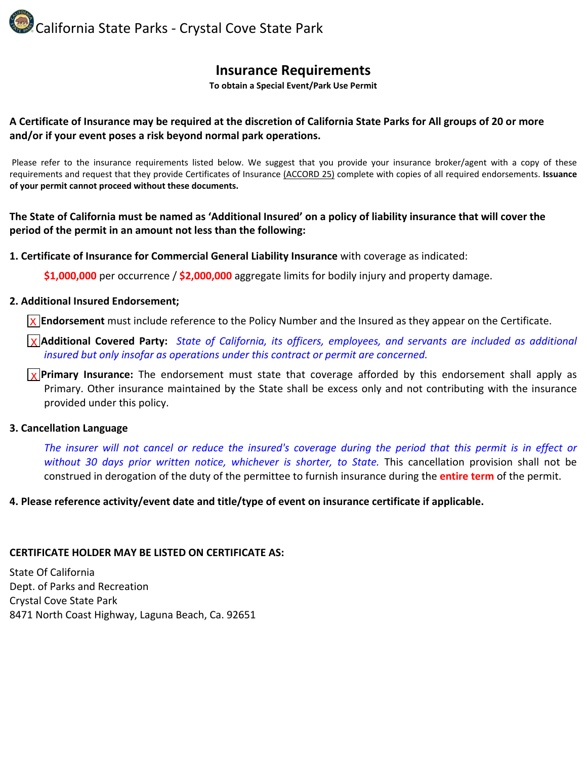California State Parks ‐ Crystal Cove State Park

# **Insurance Requirements**

**To obtain a Special Event/Park Use Permit**

### A Certificate of Insurance may be required at the discretion of California State Parks for All groups of 20 or more **and/or if your event poses a risk beyond normal park operations.**

Please refer to the insurance requirements listed below. We suggest that you provide your insurance broker/agent with a copy of these requirements and request that they provide Certificates of Insurance (ACCORD 25) complete with copies of all required endorsements. **Issuance of your permit cannot proceed without these documents.**

### The State of California must be named as 'Additional Insured' on a policy of liability insurance that will cover the **period of the permit in an amount not less than the following:**

**1. Certificate of Insurance for Commercial General Liability Insurance** with coverage as indicated:

**\$1,000,000** per occurrence / **\$2,000,000** aggregate limits for bodily injury and property damage.

### **2. Additional Insured Endorsement;**

**Endorsement** must include reference to the Policy Number and the Insured as they appear on the Certificate. X

**Additional Covered Party:** *State of California, its officers, employees, and servants are included as additional* X *insured but only insofar as operations under this contract or permit are concerned.*

**Primary Insurance:** The endorsement must state that coverage afforded by this endorsement shall apply as XPrimary. Other insurance maintained by the State shall be excess only and not contributing with the insurance provided under this policy.

#### **3. Cancellation Language**

The insurer will not cancel or reduce the insured's coverage during the period that this permit is in effect or *without 30 days prior written notice, whichever is shorter, to State.* This cancellation provision shall not be construed in derogation of the duty of the permittee to furnish insurance during the **entire term** of the permit.

#### **4. Please reference activity/event date and title/type of event on insurance certificate if applicable.**

#### **CERTIFICATE HOLDER MAY BE LISTED ON CERTIFICATE AS:**

State Of California Dept. of Parks and Recreation Crystal Cove State Park 8471 North Coast Highway, Laguna Beach, Ca. 92651